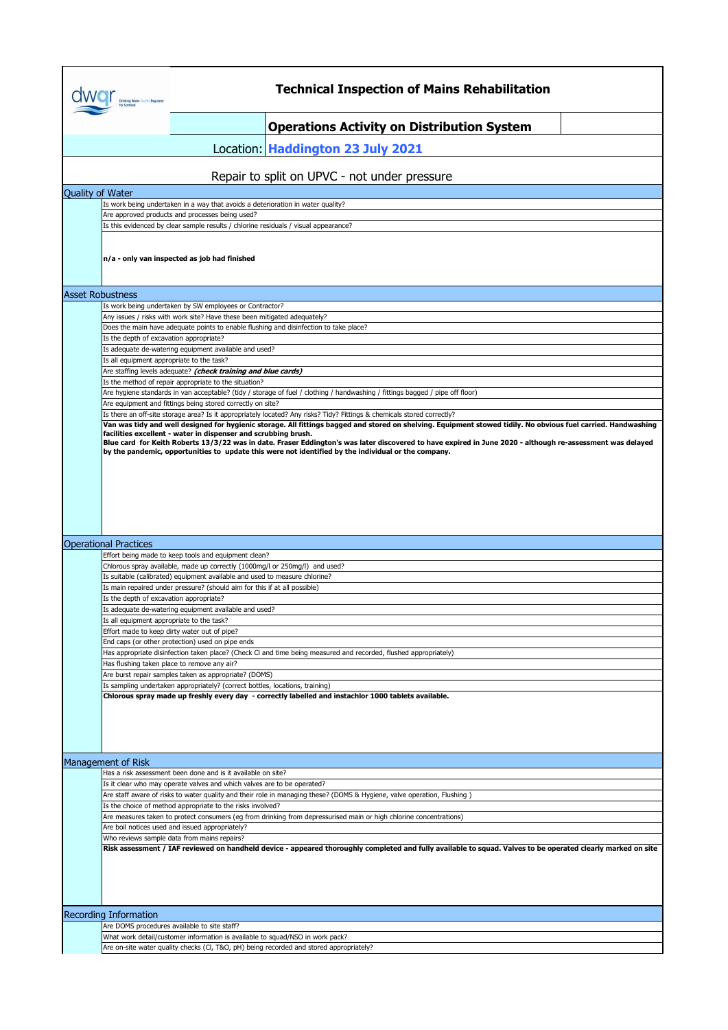|                  | <b>Drinking Water Quality Regulator</b><br>for Scotland | <b>Technical Inspection of Mains Rehabilitation</b>                                                                                                                                                                                                                                       |
|------------------|---------------------------------------------------------|-------------------------------------------------------------------------------------------------------------------------------------------------------------------------------------------------------------------------------------------------------------------------------------------|
|                  |                                                         | <b>Operations Activity on Distribution System</b>                                                                                                                                                                                                                                         |
|                  |                                                         | Location: Haddington 23 July 2021                                                                                                                                                                                                                                                         |
|                  |                                                         | Repair to split on UPVC - not under pressure                                                                                                                                                                                                                                              |
| Quality of Water |                                                         |                                                                                                                                                                                                                                                                                           |
|                  |                                                         | Is work being undertaken in a way that avoids a deterioration in water quality?<br>Are approved products and processes being used?                                                                                                                                                        |
|                  |                                                         | Is this evidenced by clear sample results / chlorine residuals / visual appearance?                                                                                                                                                                                                       |
|                  |                                                         | n/a - only van inspected as job had finished                                                                                                                                                                                                                                              |
|                  | <b>Asset Robustness</b>                                 |                                                                                                                                                                                                                                                                                           |
|                  |                                                         | Is work being undertaken by SW employees or Contractor?<br>Any issues / risks with work site? Have these been mitigated adequately?                                                                                                                                                       |
|                  |                                                         | Does the main have adequate points to enable flushing and disinfection to take place?                                                                                                                                                                                                     |
|                  | Is the depth of excavation appropriate?                 | Is adequate de-watering equipment available and used?                                                                                                                                                                                                                                     |
|                  | Is all equipment appropriate to the task?               |                                                                                                                                                                                                                                                                                           |
|                  |                                                         | Are staffing levels adequate? (check training and blue cards)                                                                                                                                                                                                                             |
|                  |                                                         | Is the method of repair appropriate to the situation?<br>Are hygiene standards in van acceptable? (tidy / storage of fuel / clothing / handwashing / fittings bagged / pipe off floor)                                                                                                    |
|                  |                                                         | Are equipment and fittings being stored correctly on site?                                                                                                                                                                                                                                |
|                  |                                                         | Is there an off-site storage area? Is it appropriately located? Any risks? Tidy? Fittings & chemicals stored correctly?<br>Van was tidy and well designed for hygienic storage. All fittings bagged and stored on shelving. Equipment stowed tidily. No obvious fuel carried. Handwashing |
|                  |                                                         | facilities excellent - water in dispenser and scrubbing brush.                                                                                                                                                                                                                            |
|                  |                                                         | Blue card for Keith Roberts 13/3/22 was in date. Fraser Eddington's was later discovered to have expired in June 2020 - although re-assessment was delayed<br>by the pandemic, opportunities to update this were not identified by the individual or the company.                         |
|                  |                                                         |                                                                                                                                                                                                                                                                                           |
|                  |                                                         |                                                                                                                                                                                                                                                                                           |
|                  | <b>Operational Practices</b>                            |                                                                                                                                                                                                                                                                                           |
|                  |                                                         | Effort being made to keep tools and equipment clean?                                                                                                                                                                                                                                      |
|                  |                                                         | Chlorous spray available, made up correctly (1000mg/l or 250mg/l) and used?<br>Is suitable (calibrated) equipment available and used to measure chlorine?                                                                                                                                 |
|                  |                                                         | Is main repaired under pressure? (should aim for this if at all possible)                                                                                                                                                                                                                 |
|                  | Is the depth of excavation appropriate?                 | Is adequate de-watering equipment available and used?                                                                                                                                                                                                                                     |
|                  | is all equipment appropriate to the task?               |                                                                                                                                                                                                                                                                                           |
|                  |                                                         | Effort made to keep dirty water out of pipe?                                                                                                                                                                                                                                              |
|                  |                                                         | End caps (or other protection) used on pipe ends<br>Has appropriate disinfection taken place? (Check CI and time being measured and recorded, flushed appropriately)                                                                                                                      |
|                  |                                                         | Has flushing taken place to remove any air?                                                                                                                                                                                                                                               |
|                  |                                                         | Are burst repair samples taken as appropriate? (DOMS)<br>Is sampling undertaken appropriately? (correct bottles, locations, training)                                                                                                                                                     |
|                  |                                                         | Chlorous spray made up freshly every day - correctly labelled and instachlor 1000 tablets available.                                                                                                                                                                                      |
|                  |                                                         |                                                                                                                                                                                                                                                                                           |
|                  | Management of Risk                                      |                                                                                                                                                                                                                                                                                           |
|                  |                                                         | Has a risk assessment been done and is it available on site?                                                                                                                                                                                                                              |
|                  |                                                         | Is it clear who may operate valves and which valves are to be operated?<br>Are staff aware of risks to water quality and their role in managing these? (DOMS & Hygiene, valve operation, Flushing)                                                                                        |
|                  |                                                         | Is the choice of method appropriate to the risks involved?                                                                                                                                                                                                                                |
|                  |                                                         | Are measures taken to protect consumers (eg from drinking from depressurised main or high chlorine concentrations)                                                                                                                                                                        |
|                  |                                                         | Are boil notices used and issued appropriately?<br>Who reviews sample data from mains repairs?<br>Risk assessment / IAF reviewed on handheld device - appeared thoroughly completed and fully available to squad. Valves to be operated clearly marked on site                            |
|                  |                                                         |                                                                                                                                                                                                                                                                                           |
|                  |                                                         |                                                                                                                                                                                                                                                                                           |
|                  | <b>Recording Information</b>                            |                                                                                                                                                                                                                                                                                           |
|                  |                                                         | Are DOMS procedures available to site staff?<br>What work detail/customer information is available to squad/NSO in work pack?                                                                                                                                                             |